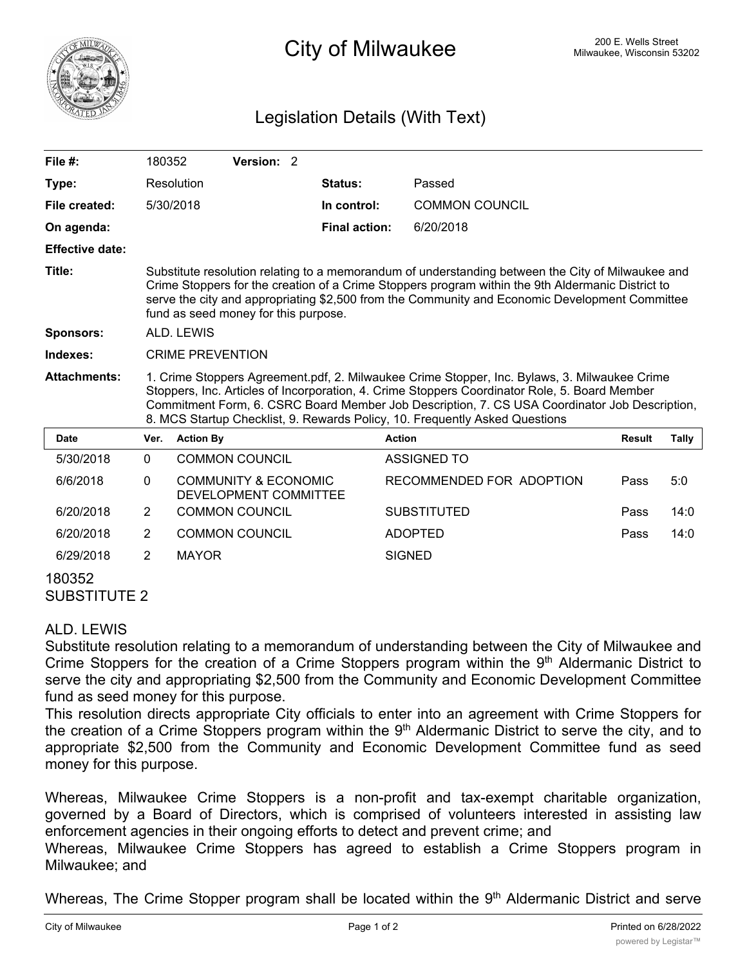

## <sup>200 E.</sup> Wells Street City of Milwaukee Milwaukee, Wisconsin 53202

## Legislation Details (With Text)

| File #:                       | 180352                                                                                                                                                                                                                                                                                                                                                                        |                  | Version: 2                                               |  |                      |                          |               |       |
|-------------------------------|-------------------------------------------------------------------------------------------------------------------------------------------------------------------------------------------------------------------------------------------------------------------------------------------------------------------------------------------------------------------------------|------------------|----------------------------------------------------------|--|----------------------|--------------------------|---------------|-------|
| Type:                         |                                                                                                                                                                                                                                                                                                                                                                               | Resolution       |                                                          |  | <b>Status:</b>       | Passed                   |               |       |
| File created:                 |                                                                                                                                                                                                                                                                                                                                                                               | 5/30/2018        |                                                          |  | In control:          | <b>COMMON COUNCIL</b>    |               |       |
| On agenda:                    |                                                                                                                                                                                                                                                                                                                                                                               |                  |                                                          |  | <b>Final action:</b> | 6/20/2018                |               |       |
| <b>Effective date:</b>        |                                                                                                                                                                                                                                                                                                                                                                               |                  |                                                          |  |                      |                          |               |       |
| Title:                        | Substitute resolution relating to a memorandum of understanding between the City of Milwaukee and<br>Crime Stoppers for the creation of a Crime Stoppers program within the 9th Aldermanic District to<br>serve the city and appropriating \$2,500 from the Community and Economic Development Committee<br>fund as seed money for this purpose.                              |                  |                                                          |  |                      |                          |               |       |
| <b>Sponsors:</b>              | <b>ALD. LEWIS</b>                                                                                                                                                                                                                                                                                                                                                             |                  |                                                          |  |                      |                          |               |       |
| Indexes:                      | <b>CRIME PREVENTION</b>                                                                                                                                                                                                                                                                                                                                                       |                  |                                                          |  |                      |                          |               |       |
| <b>Attachments:</b>           | 1. Crime Stoppers Agreement.pdf, 2. Milwaukee Crime Stopper, Inc. Bylaws, 3. Milwaukee Crime<br>Stoppers, Inc. Articles of Incorporation, 4. Crime Stoppers Coordinator Role, 5. Board Member<br>Commitment Form, 6. CSRC Board Member Job Description, 7. CS USA Coordinator Job Description,<br>8. MCS Startup Checklist, 9. Rewards Policy, 10. Frequently Asked Questions |                  |                                                          |  |                      |                          |               |       |
| <b>Date</b>                   | Ver.                                                                                                                                                                                                                                                                                                                                                                          | <b>Action By</b> |                                                          |  |                      | <b>Action</b>            | <b>Result</b> | Tally |
| 5/30/2018                     | $\Omega$                                                                                                                                                                                                                                                                                                                                                                      |                  | <b>COMMON COUNCIL</b>                                    |  |                      | <b>ASSIGNED TO</b>       |               |       |
| 6/6/2018                      | 0                                                                                                                                                                                                                                                                                                                                                                             |                  | <b>COMMUNITY &amp; ECONOMIC</b><br>DEVELOPMENT COMMITTEE |  |                      | RECOMMENDED FOR ADOPTION | Pass          | 5:0   |
| 6/20/2018                     | $\overline{2}$                                                                                                                                                                                                                                                                                                                                                                |                  | <b>COMMON COUNCIL</b>                                    |  |                      | <b>SUBSTITUTED</b>       | Pass          | 14:0  |
| 6/20/2018                     | $\overline{2}$                                                                                                                                                                                                                                                                                                                                                                |                  | <b>COMMON COUNCIL</b>                                    |  |                      | <b>ADOPTED</b>           | Pass          | 14:0  |
| 6/29/2018                     | 2                                                                                                                                                                                                                                                                                                                                                                             | <b>MAYOR</b>     |                                                          |  |                      | <b>SIGNED</b>            |               |       |
| 180352<br><b>SUBSTITUTE 2</b> |                                                                                                                                                                                                                                                                                                                                                                               |                  |                                                          |  |                      |                          |               |       |

## ALD. LEWIS

Substitute resolution relating to a memorandum of understanding between the City of Milwaukee and Crime Stoppers for the creation of a Crime Stoppers program within the 9<sup>th</sup> Aldermanic District to serve the city and appropriating \$2,500 from the Community and Economic Development Committee fund as seed money for this purpose.

This resolution directs appropriate City officials to enter into an agreement with Crime Stoppers for the creation of a Crime Stoppers program within the 9<sup>th</sup> Aldermanic District to serve the city, and to appropriate \$2,500 from the Community and Economic Development Committee fund as seed money for this purpose.

Whereas, Milwaukee Crime Stoppers is a non-profit and tax-exempt charitable organization, governed by a Board of Directors, which is comprised of volunteers interested in assisting law enforcement agencies in their ongoing efforts to detect and prevent crime; and

Whereas, Milwaukee Crime Stoppers has agreed to establish a Crime Stoppers program in Milwaukee; and

Whereas, The Crime Stopper program shall be located within the 9<sup>th</sup> Aldermanic District and serve